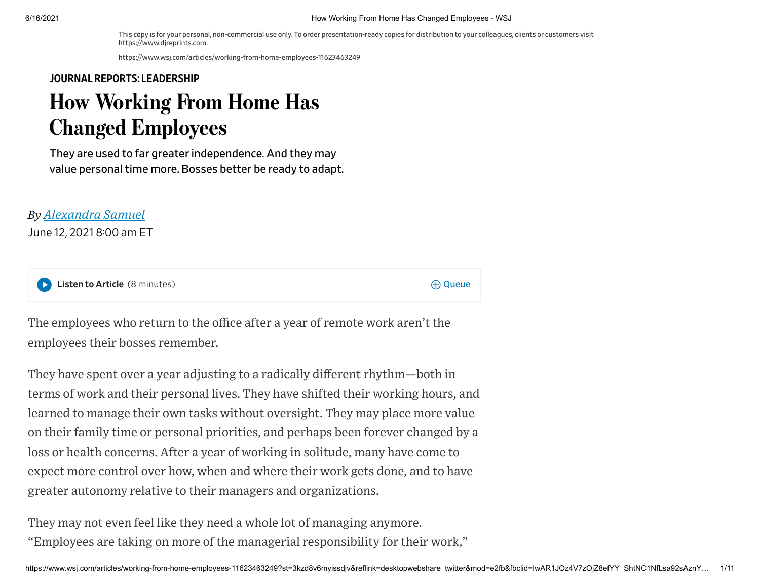This copy is for your personal, non-commercial use only. To order presentation-ready copies for distribution to your colleagues, clients or customers visit https://www.djreprints.com.

https://www.wsj.com/articles/working-from-home-employees-11623463249

#### JOURNAL REPORTS: [LEADERSHIP](https://www.wsj.com/news/types/journal-reports-leadership?mod=bigtop-breadcrumb)

# How Working From Home Has Changed Employees

They are used to far greater independence. And they may value personal time more. Bosses better be ready to adapt.

#### *By Alexandra Samuel*

June 12, 2021 8:00 am ET

Listen to Article (8 minutes) and the Contract of the Contract of the Contract of the Contract of the Contract of the Queue

The employees who return to the office after a year of remote work aren't the employees their bosses remember.

They have spent over a year adjusting to a radically different rhythm—both in terms of work and their personal lives. They have shifted their working hours, and learned to manage their own tasks without oversight. They may place more value on their family time or personal priorities, and perhaps been forever changed by a loss or health concerns. After a year of working in solitude, many have come to expect more control over how, when and where their work gets done, and to have greater autonomy relative to their managers and organizations.

They may not even feel like they need a whole lot of managing anymore. "Employees are taking on more of the managerial responsibility for their work,"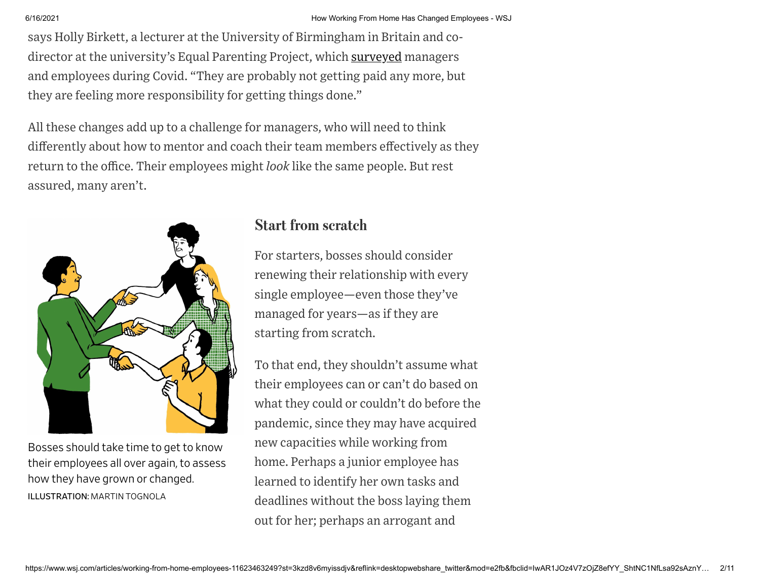says Holly Birkett, a lecturer at the University of Birmingham in Britain and codirector at the university's Equal Parenting Project, which [surveyed](https://www.birmingham.ac.uk/Documents/college-social-sciences/business/research/responsible-business/managerial-experiences-during-covid19-2020-accessible.pdf) managers and employees during Covid. "They are probably not getting paid any more, but they are feeling more responsibility for getting things done."

All these changes add up to a challenge for managers, who will need to think differently about how to mentor and coach their team members effectively as they return to the office. Their employees might *look* like the same people. But rest assured, many aren't.



Bosses should take time to get to know their employees all over again, to assess how they have grown or changed. ILLUSTRATION: MARTIN TOGNOLA

# Start from scratch

For starters, bosses should consider renewing their relationship with every single employee—even those they've managed for years—as if they are starting from scratch.

To that end, they shouldn't assume what their employees can or can't do based on what they could or couldn't do before the pandemic, since they may have acquired new capacities while working from home. Perhaps a junior employee has learned to identify her own tasks and deadlines without the boss laying them out for her; perhaps an arrogant and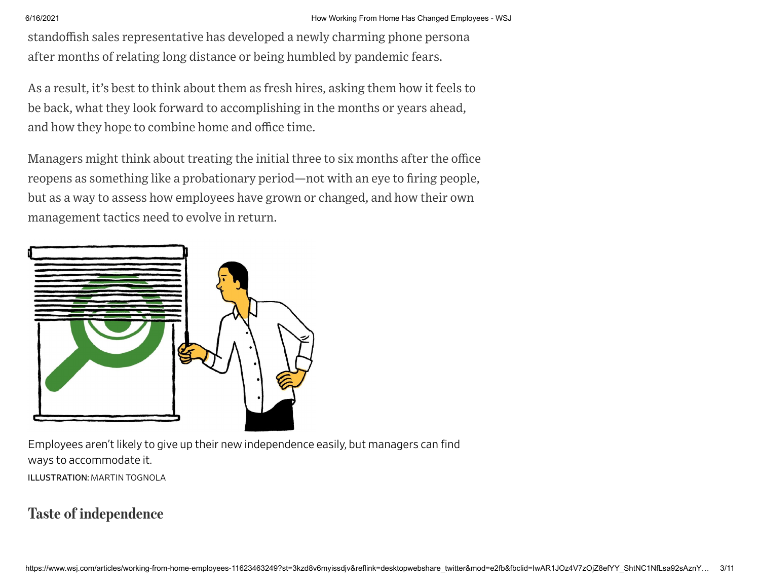standoffish sales representative has developed a newly charming phone persona after months of relating long distance or being humbled by pandemic fears.

As a result, it's best to think about them as fresh hires, asking them how it feels to be back, what they look forward to accomplishing in the months or years ahead, and how they hope to combine home and office time.

Managers might think about treating the initial three to six months after the office reopens as something like a probationary period—not with an eye to firing people, but as a way to assess how employees have grown or changed, and how their own management tactics need to evolve in return.



Employees aren't likely to give up their new independence easily, but managers can find ways to accommodate it. ILLUSTRATION: MARTIN TOGNOLA

# Taste of independence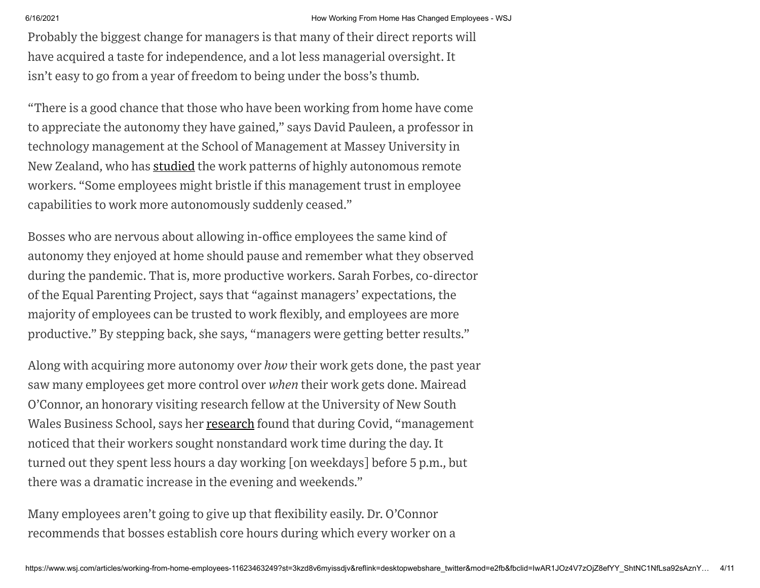Probably the biggest change for managers is that many of their direct reports will have acquired a taste for independence, and a lot less managerial oversight. It isn't easy to go from a year of freedom to being under the boss's thumb.

"There is a good chance that those who have been working from home have come to appreciate the autonomy they have gained," says David Pauleen, a professor in technology management at the School of Management at Massey University in New Zealand, who has [studied](https://www.tandfonline.com/doi/abs/10.1080/0144929X.2010.489117) the work patterns of highly autonomous remote workers. "Some employees might bristle if this management trust in employee capabilities to work more autonomously suddenly ceased."

Bosses who are nervous about allowing in-office employees the same kind of autonomy they enjoyed at home should pause and remember what they observed during the pandemic. That is, more productive workers. Sarah Forbes, co-director of the Equal Parenting Project, says that "against managers' expectations, the majority of employees can be trusted to work flexibly, and employees are more productive." By stepping back, she says, "managers were getting better results."

Along with acquiring more autonomy over *how* their work gets done, the past year saw many employees get more control over *when* their work gets done. Mairead O'Connor, an honorary visiting research fellow at the University of New South Wales Business School, says her [research](https://www.tandfonline.com/doi/full/10.1080/12460125.2020.1861772) found that during Covid, "management" noticed that their workers sought nonstandard work time during the day. It turned out they spent less hours a day working [on weekdays] before 5 p.m., but there was a dramatic increase in the evening and weekends."

Many employees aren't going to give up that flexibility easily. Dr. O'Connor recommends that bosses establish core hours during which every worker on a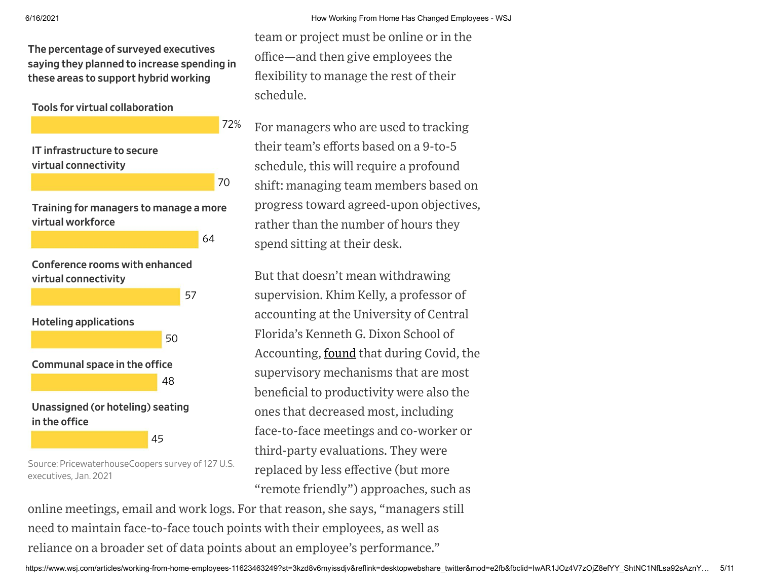The percentage of surveyed executives saying they planned to increase spending in these areas to support hybrid working

Tools for virtual collaboration



Source: PricewaterhouseCoopers survey of 127 U.S. executives, Jan. 2021

team or project must be online or in the office—and then give employees the flexibility to manage the rest of their schedule.

For managers who are used to tracking their team's efforts based on a 9-to-5 schedule, this will require a profound shift: managing team members based on progress toward agreed-upon objectives, rather than the number of hours they spend sitting at their desk.

But that doesn't mean withdrawing supervision. Khim Kelly, a professor of accounting at the University of Central Florida's Kenneth G. Dixon School of Accounting, found that during Covid, the supervisory mechanisms that are most beneficial to productivity were also the ones that decreased most, including face-to-face meetings and co-worker or third-party evaluations. They were replaced by less effective (but more "remote friendly") approaches, such as

online meetings, email and work logs. For that reason, she says, "managers still need to maintain face-to-face touch points with their employees, as well as reliance on a broader set of data points about an employee's performance."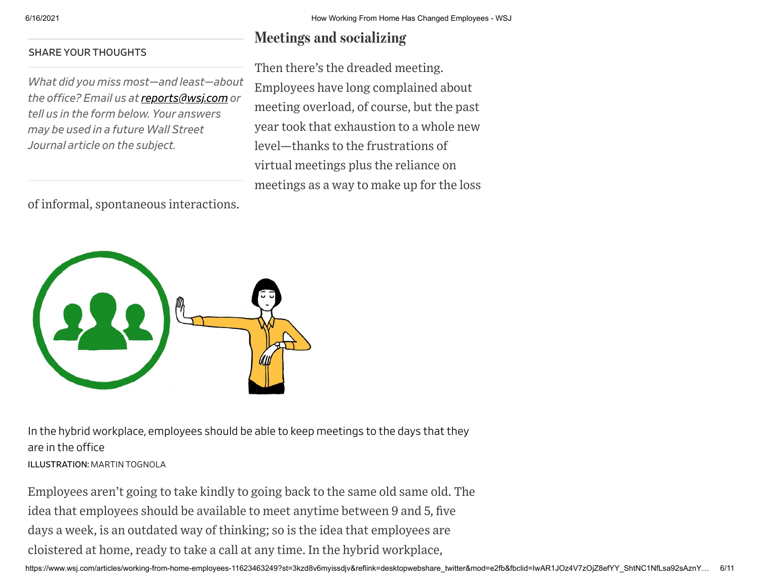#### SHARE YOUR THOUGHTS

*What did you miss most—and least—about the office? Email us at[reports@wsj.com](mailto:reports@wsj.com) or tell us in the form below. Your answers may be used in a future Wall Street Journal article on the subject.*

of informal, spontaneous interactions.

# Meetings and socializing

Then there's the dreaded meeting. Employees have long complained about meeting overload, of course, but the past year took that exhaustion to a whole new level—thanks to the frustrations of virtual meetings plus the reliance on meetings as a way to make up for the loss



In the hybrid workplace, employees should be able to keep meetings to the days that they are in the office

ILLUSTRATION: MARTIN TOGNOLA

Employees aren't going to take kindly to going back to the same old same old. The idea that employees should be available to meet anytime between 9 and 5, five days a week, is an outdated way of thinking; so is the idea that employees are cloistered at home, ready to take a call at any time. In the hybrid workplace,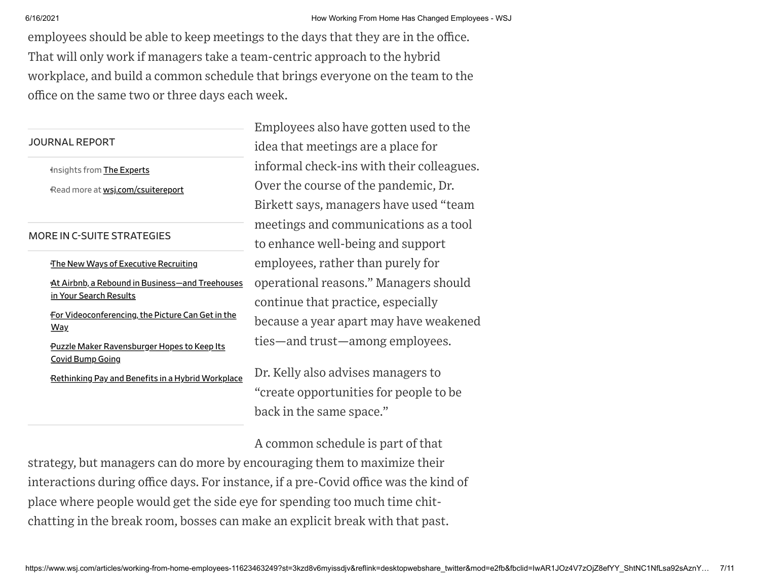| 6/16/2021<br>employees should be able to keep meetings to the days that they are in the office.<br>That will only work if managers take a team-centric approach to the hybrid<br>office on the same two or three days each week. | How Working From Home Has Changed Employees -<br>workplace, and build a common schedule that brings everyone on the team to the |
|----------------------------------------------------------------------------------------------------------------------------------------------------------------------------------------------------------------------------------|---------------------------------------------------------------------------------------------------------------------------------|
| <b>JOURNAL REPORT</b>                                                                                                                                                                                                            | Employees also have gotten used to the<br>idea that meetings are a place for                                                    |
| Insights from The Experts<br>Read more at wsj.com/csuitereport                                                                                                                                                                   | informal check-ins with their colleagues.<br>Over the course of the pandemic, Dr.<br>Birkett says, managers have used "team     |
| <b>MORE IN C-SUITE STRATEGIES</b>                                                                                                                                                                                                | meetings and communications as a tool<br>to enhance well-being and support                                                      |
| The New Ways of Executive Recruiting<br>At Airbnb, a Rebound in Business-and Treehouses<br>in Your Search Results<br>For Videoconferencing, the Picture Can Get in the                                                           | employees, rather than purely for<br>operational reasons." Managers should<br>continue that practice, especially                |
| <u>Way</u><br>Puzzle Maker Ravensburger Hopes to Keep Its                                                                                                                                                                        | because a year apart may have weakened<br>ties—and trust—among employees.                                                       |
| <b>Covid Bump Going</b><br>Rethinking Pay and Benefits in a Hybrid Workplace                                                                                                                                                     | Dr. Kelly also advises managers to<br>"create opportunities for people to be<br>back in the same space."                        |

A common schedule is part of that

strategy, but managers can do more by encouraging them to maximize their interactions during office days. For instance, if a pre-Covid office was the kind of place where people would get the side eye for spending too much time chitchatting in the break room, bosses can make an explicit break with that past.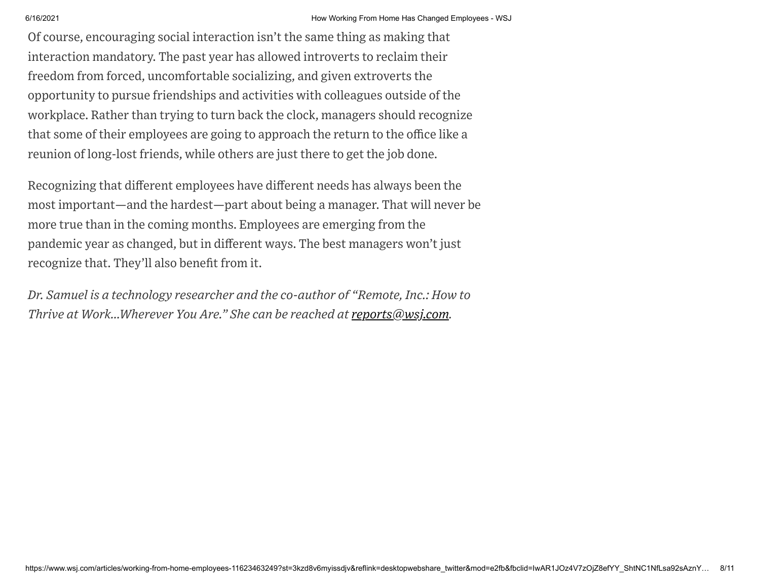Of course, encouraging social interaction isn't the same thing as making that interaction mandatory. The past year has allowed introverts to reclaim their freedom from forced, uncomfortable socializing, and given extroverts the opportunity to pursue friendships and activities with colleagues outside of the workplace. Rather than trying to turn back the clock, managers should recognize that some of their employees are going to approach the return to the office like a reunion of long-lost friends, while others are just there to get the job done.

Recognizing that different employees have different needs has always been the most important—and the hardest—part about being a manager. That will never be more true than in the coming months. Employees are emerging from the pandemic year as changed, but in different ways. The best managers won't just recognize that. They'll also benefit from it.

*Dr. Samuel is a technology researcher and the co-author of "Remote, Inc.: How to Thrive at Work…Wherever You Are." She can be reached at [reports@wsj.com](mailto:reports@wsj.com).*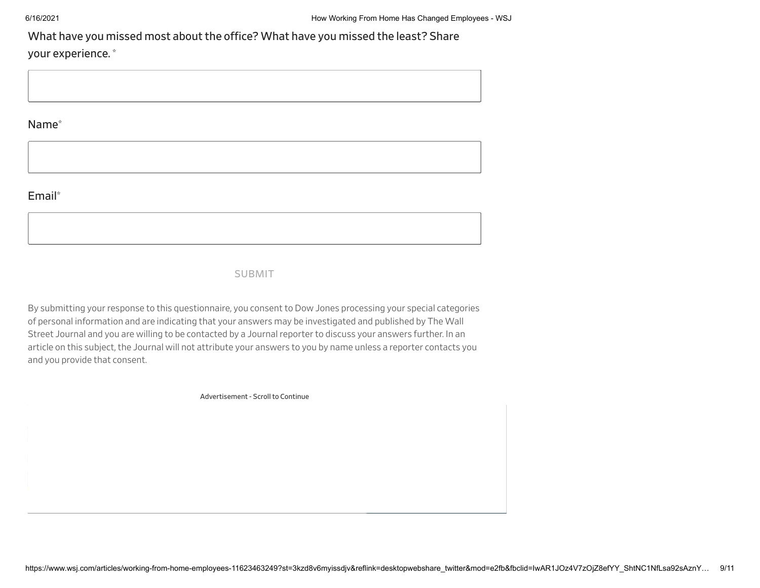What have you missed most about the office? What have you missed the least? Share

your experience. \*

Name\*

### Email\*

### SUBMIT

By submitting your response to this questionnaire, you consentto Dow Jones processing your special categories of personal information and are indicating that your answers may be investigated and published by The Wall Street Journal and you are willing to be contacted by a Journal reporter to discuss your answers further. In an article on this subject, the Journal will not attribute your answers to you by name unless a reporter contacts you and you provide that consent.

Advertisement - Scroll to Continue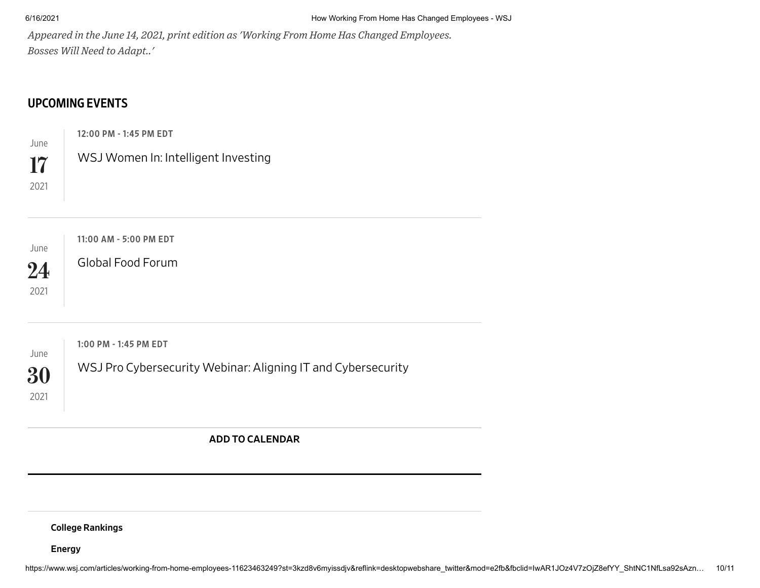*Appeared in the June 14, 2021, print edition as 'Working From Home Has Changed Employees. Bosses Will Need to Adapt..'*

## [UPCOMING](https://wsj.calreplyapp.com/live-journalism) EVENTS

June 12:00 PM - 1:45 PM EDT

WSJ Women In: Intelligent Investing

17 2021

June 24 2021 11:00 AM - 5:00 PM EDT Global Food [Forum](https://bit.ly/3sa0QeD) June 30 2021 1:00 PM - 1:45 PM EDT WSJ Pro [Cybersecurity](https://bit.ly/3xoXEjj) Webinar: Aligning IT and Cybersecurity ADD TO [CALENDAR](https://wsj.calreplyapp.com/live-journalism/subscription/subscribe)

College [Rankings](https://www.wsj.com/collegerankings)

[Energy](https://www.wsj.com/energyreport)